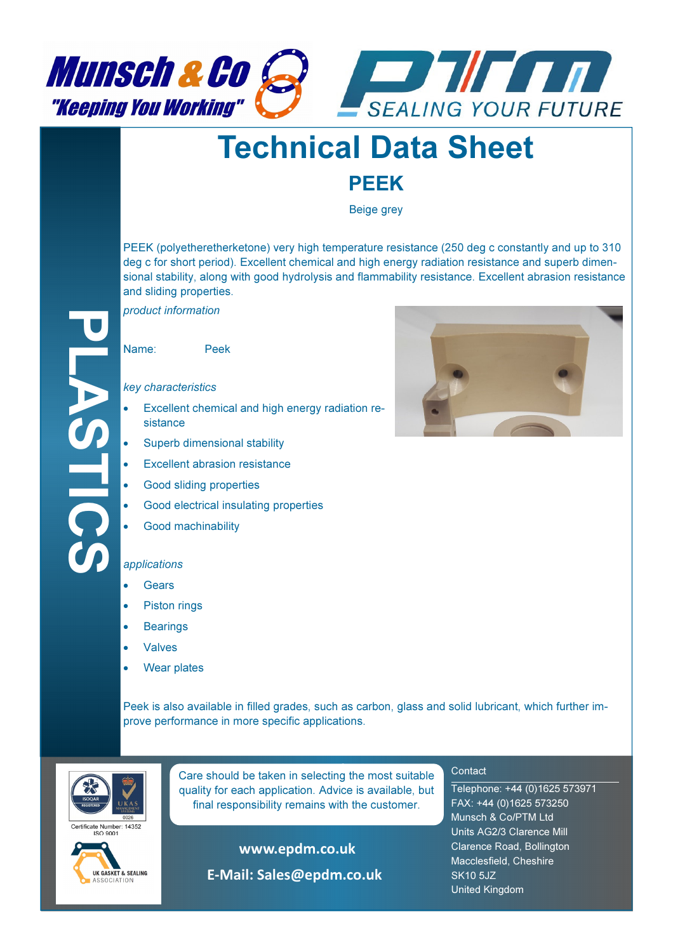



# Technical Data Sheet

## PEEK

Beige grey

PEEK (polyetheretherketone) very high temperature resistance (250 deg c constantly and up to 310 deg c for short period). Excellent chemical and high energy radiation resistance and superb dimensional stability, along with good hydrolysis and flammability resistance. Excellent abrasion resistance and sliding properties.

product information

Name: Peek

#### key characteristics

- Excellent chemical and high energy radiation resistance
- Superb dimensional stability
- Excellent abrasion resistance
- Good sliding properties
- Good electrical insulating properties
- Good machinability

#### applications

- **Gears**
- Piston rings
- **Bearings**
- Valves
- Wear plates

Peek is also available in filled grades, such as carbon, glass and solid lubricant, which further improve performance in more specific applications.



**Care should be taken in selecting the most suitable** quality for each application. Advice is available, but final responsibility remains with the customer.

rtificate Number: 14352



www.epdm.co.uk

E-Mail: Sales@epdm.co.uk



### **Contact**

Telephone: +44 (0)1625 573971 FAX: +44 (0)1625 573250 Munsch & Co/PTM Ltd Units AG2/3 Clarence Mill Clarence Road, Bollington Macclesfield, Cheshire SK10 5JZ United Kingdom